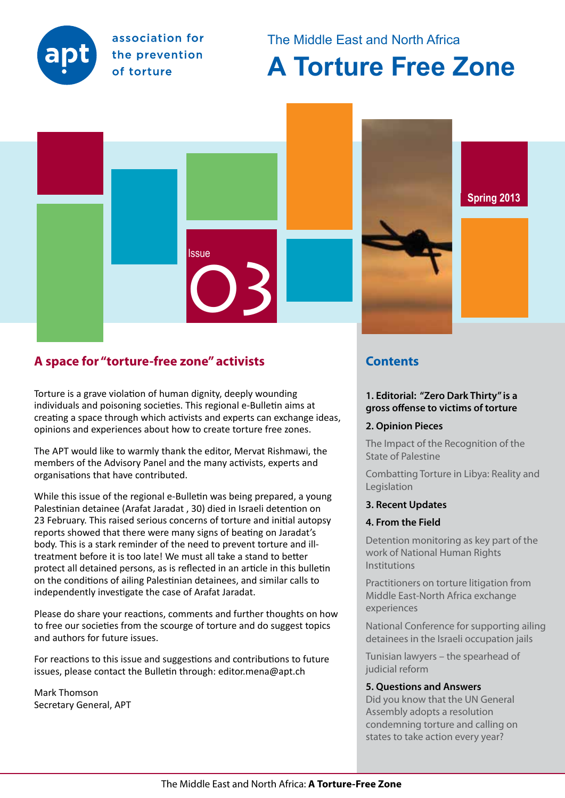

association for the prevention of torture

# The Middle East and North Africa

# **A Torture Free Zone**



# **A space for "torture-free zone" activists**

Torture is a grave violation of human dignity, deeply wounding individuals and poisoning societies. This regional e-Bulletin aims at creating a space through which activists and experts can exchange ideas, opinions and experiences about how to create torture free zones.

The APT would like to warmly thank the editor, Mervat Rishmawi, the members of the Advisory Panel and the many activists, experts and organisations that have contributed.

While this issue of the regional e-Bulletin was being prepared, a young Palestinian detainee (Arafat Jaradat , 30) died in Israeli detention on 23 February. This raised serious concerns of torture and initial autopsy reports showed that there were many signs of beating on Jaradat's body. This is a stark reminder of the need to prevent torture and illtreatment before it is too late! We must all take a stand to better protect all detained persons, as is reflected in an article in this bulletin on the conditions of ailing Palestinian detainees, and similar calls to independently investigate the case of Arafat Jaradat.

Please do share your reactions, comments and further thoughts on how to free our societies from the scourge of torture and do suggest topics and authors for future issues.

For reactions to this issue and suggestions and contributions to future issues, please contact the Bulletin through: editor.mena@apt.ch

Mark Thomson Secretary General, APT

# **Contents**

#### **1. Editorial: "Zero Dark Thirty" is a gross offense to victims of torture**

### **2. Opinion Pieces**

The Impact of the Recognition of the State of Palestine

Combatting Torture in Libya: Reality and Legislation

#### **3. Recent Updates**

### **4. From the Field**

Detention monitoring as key part of the work of National Human Rights Institutions

Practitioners on torture litigation from Middle East-North Africa exchange experiences

National Conference for supporting ailing detainees in the Israeli occupation jails

Tunisian lawyers – the spearhead of judicial reform

#### **5. Questions and Answers**

Did you know that the UN General Assembly adopts a resolution condemning torture and calling on states to take action every year?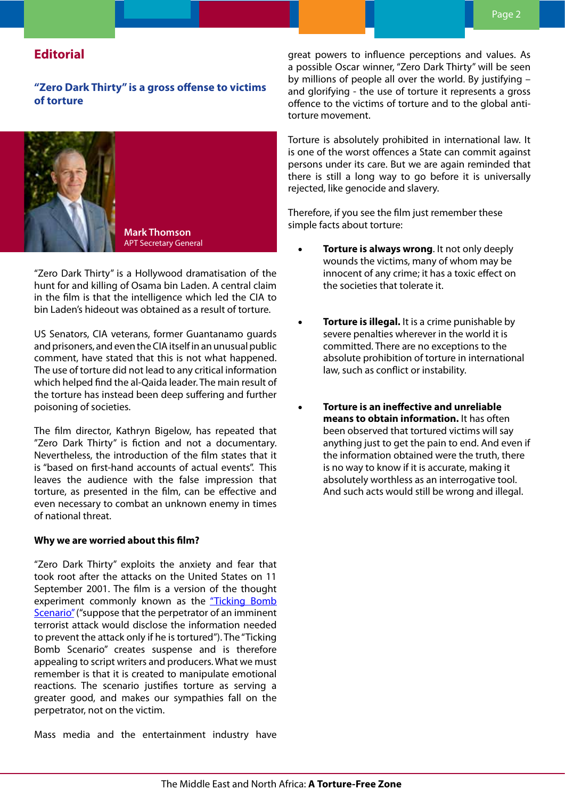# **Editorial**

**"Zero Dark Thirty" is a gross offense to victims of torture** 



"Zero Dark Thirty" is a Hollywood dramatisation of the hunt for and killing of Osama bin Laden. A central claim in the film is that the intelligence which led the CIA to bin Laden's hideout was obtained as a result of torture.

US Senators, CIA veterans, former Guantanamo guards and prisoners, and even the CIA itself in an unusual public comment, have stated that this is not what happened. The use of torture did not lead to any critical information which helped find the al-Qaida leader. The main result of the torture has instead been deep suffering and further poisoning of societies.

The film director, Kathryn Bigelow, has repeated that "Zero Dark Thirty" is fiction and not a documentary. Nevertheless, the introduction of the film states that it is "based on first-hand accounts of actual events". This leaves the audience with the false impression that torture, as presented in the film, can be effective and even necessary to combat an unknown enemy in times of national threat.

#### **Why we are worried about this film?**

"Zero Dark Thirty" exploits the anxiety and fear that took root after the attacks on the United States on 11 September 2001. The film is a version of the thought experiment commonly known as the "Ticking Bomb Scenario" ("suppose that the perpetrator of an imminent terrorist attack would disclose the information needed to prevent the attack only if he is tortured"). The "Ticking Bomb Scenario" creates suspense and is therefore appealing to script writers and producers. What we must remember is that it is created to manipulate emotional reactions. The scenario justifies torture as serving a greater good, and makes our sympathies fall on the perpetrator, not on the victim.

Mass media and the entertainment industry have

great powers to influence perceptions and values. As a possible Oscar winner, "Zero Dark Thirty" will be seen by millions of people all over the world. By justifying – and glorifying - the use of torture it represents a gross offence to the victims of torture and to the global antitorture movement.

Torture is absolutely prohibited in international law. It is one of the worst offences a State can commit against persons under its care. But we are again reminded that there is still a long way to go before it is universally rejected, like genocide and slavery.

Therefore, if you see the film just remember these simple facts about torture:

- **Torture is always wrong.** It not only deeply wounds the victims, many of whom may be innocent of any crime; it has a toxic effect on the societies that tolerate it.
- **Torture is illegal.** It is a crime punishable by severe penalties wherever in the world it is committed. There are no exceptions to the absolute prohibition of torture in international law, such as conflict or instability.
- **Torture is an ineffective and unreliable means to obtain information.** It has often been observed that tortured victims will say anything just to get the pain to end. And even if the information obtained were the truth, there is no way to know if it is accurate, making it absolutely worthless as an interrogative tool. And such acts would still be wrong and illegal.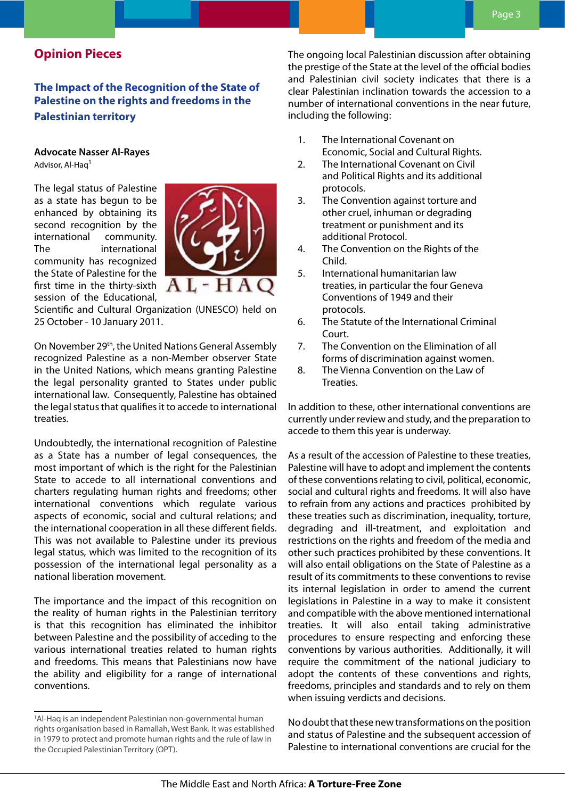# **Opinion Pieces**

# **The Impact of the Recognition of the State of Palestine on the rights and freedoms in the Palestinian territory**

#### **Advocate Nasser Al-Rayes** Advisor, Al-Haq1

The legal status of Palestine as a state has begun to be enhanced by obtaining its second recognition by the international community. The international community has recognized the State of Palestine for the first time in the thirty-sixth session of the Educational,



Scientific and Cultural Organization (UNESCO) held on 25 October - 10 January 2011.

On November 29<sup>th</sup>, the United Nations General Assembly recognized Palestine as a non-Member observer State in the United Nations, which means granting Palestine the legal personality granted to States under public international law. Consequently, Palestine has obtained the legal status that qualifies it to accede to international treaties.

Undoubtedly, the international recognition of Palestine as a State has a number of legal consequences, the most important of which is the right for the Palestinian State to accede to all international conventions and charters regulating human rights and freedoms; other international conventions which regulate various aspects of economic, social and cultural relations; and the international cooperation in all these different fields. This was not available to Palestine under its previous legal status, which was limited to the recognition of its possession of the international legal personality as a national liberation movement.

The importance and the impact of this recognition on the reality of human rights in the Palestinian territory is that this recognition has eliminated the inhibitor between Palestine and the possibility of acceding to the various international treaties related to human rights and freedoms. This means that Palestinians now have the ability and eligibility for a range of international conventions.

The ongoing local Palestinian discussion after obtaining the prestige of the State at the level of the official bodies and Palestinian civil society indicates that there is a clear Palestinian inclination towards the accession to a number of international conventions in the near future, including the following:

- 1. The International Covenant on Economic, Social and Cultural Rights.
- 2. The International Covenant on Civil and Political Rights and its additional protocols.
- 3. The Convention against torture and other cruel, inhuman or degrading treatment or punishment and its additional Protocol.
- 4. The Convention on the Rights of the Child.
- 5. International humanitarian law treaties, in particular the four Geneva Conventions of 1949 and their protocols.
- 6. The Statute of the International Criminal Court.
- 7. The Convention on the Elimination of all forms of discrimination against women.
- 8. The Vienna Convention on the Law of Treaties.

In addition to these, other international conventions are currently under review and study, and the preparation to accede to them this year is underway.

As a result of the accession of Palestine to these treaties, Palestine will have to adopt and implement the contents of these conventions relating to civil, political, economic, social and cultural rights and freedoms. It will also have to refrain from any actions and practices prohibited by these treaties such as discrimination, inequality, torture, degrading and ill-treatment, and exploitation and restrictions on the rights and freedom of the media and other such practices prohibited by these conventions. It will also entail obligations on the State of Palestine as a result of its commitments to these conventions to revise its internal legislation in order to amend the current legislations in Palestine in a way to make it consistent and compatible with the above mentioned international treaties. It will also entail taking administrative procedures to ensure respecting and enforcing these conventions by various authorities. Additionally, it will require the commitment of the national judiciary to adopt the contents of these conventions and rights, freedoms, principles and standards and to rely on them when issuing verdicts and decisions.

No doubt that these new transformations on the position and status of Palestine and the subsequent accession of Palestine to international conventions are crucial for the

<sup>1</sup> Al-Haq is an independent Palestinian non-governmental human rights organisation based in Ramallah, West Bank. It was established in 1979 to protect and promote human rights and the rule of law in the Occupied Palestinian Territory (OPT).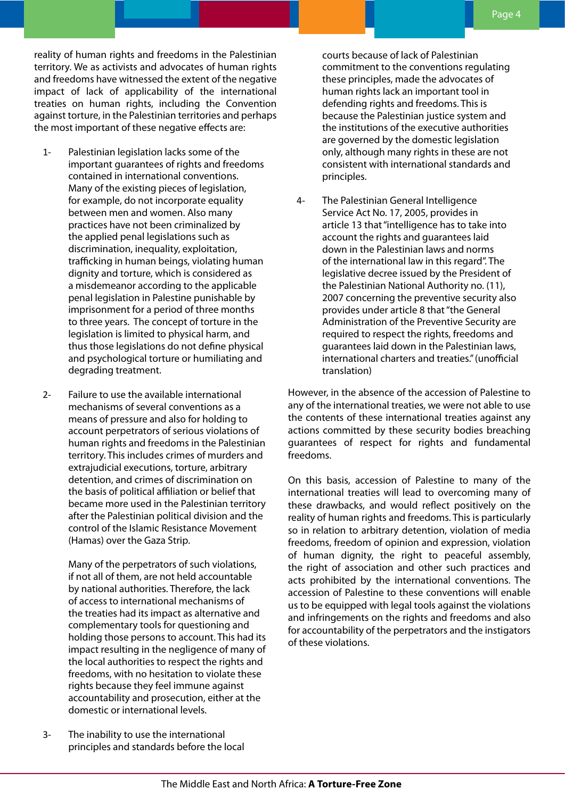reality of human rights and freedoms in the Palestinian territory. We as activists and advocates of human rights and freedoms have witnessed the extent of the negative impact of lack of applicability of the international treaties on human rights, including the Convention against torture, in the Palestinian territories and perhaps the most important of these negative effects are:

- 1- Palestinian legislation lacks some of the important guarantees of rights and freedoms contained in international conventions. Many of the existing pieces of legislation, for example, do not incorporate equality between men and women. Also many practices have not been criminalized by the applied penal legislations such as discrimination, inequality, exploitation, trafficking in human beings, violating human dignity and torture, which is considered as a misdemeanor according to the applicable penal legislation in Palestine punishable by imprisonment for a period of three months to three years. The concept of torture in the legislation is limited to physical harm, and thus those legislations do not define physical and psychological torture or humiliating and degrading treatment.
- 2- Failure to use the available international mechanisms of several conventions as a means of pressure and also for holding to account perpetrators of serious violations of human rights and freedoms in the Palestinian territory. This includes crimes of murders and extrajudicial executions, torture, arbitrary detention, and crimes of discrimination on the basis of political affiliation or belief that became more used in the Palestinian territory after the Palestinian political division and the control of the Islamic Resistance Movement (Hamas) over the Gaza Strip.

Many of the perpetrators of such violations, if not all of them, are not held accountable by national authorities. Therefore, the lack of access to international mechanisms of the treaties had its impact as alternative and complementary tools for questioning and holding those persons to account. This had its impact resulting in the negligence of many of the local authorities to respect the rights and freedoms, with no hesitation to violate these rights because they feel immune against accountability and prosecution, either at the domestic or international levels.

courts because of lack of Palestinian commitment to the conventions regulating these principles, made the advocates of human rights lack an important tool in defending rights and freedoms. This is because the Palestinian justice system and the institutions of the executive authorities are governed by the domestic legislation only, although many rights in these are not consistent with international standards and principles.

4- The Palestinian General Intelligence Service Act No. 17, 2005, provides in article 13 that "intelligence has to take into account the rights and guarantees laid down in the Palestinian laws and norms of the international law in this regard". The legislative decree issued by the President of the Palestinian National Authority no. (11), 2007 concerning the preventive security also provides under article 8 that "the General Administration of the Preventive Security are required to respect the rights, freedoms and guarantees laid down in the Palestinian laws, international charters and treaties." (unofficial translation)

However, in the absence of the accession of Palestine to any of the international treaties, we were not able to use the contents of these international treaties against any actions committed by these security bodies breaching guarantees of respect for rights and fundamental freedoms.

On this basis, accession of Palestine to many of the international treaties will lead to overcoming many of these drawbacks, and would reflect positively on the reality of human rights and freedoms. This is particularly so in relation to arbitrary detention, violation of media freedoms, freedom of opinion and expression, violation of human dignity, the right to peaceful assembly, the right of association and other such practices and acts prohibited by the international conventions. The accession of Palestine to these conventions will enable us to be equipped with legal tools against the violations and infringements on the rights and freedoms and also for accountability of the perpetrators and the instigators of these violations.

3- The inability to use the international principles and standards before the local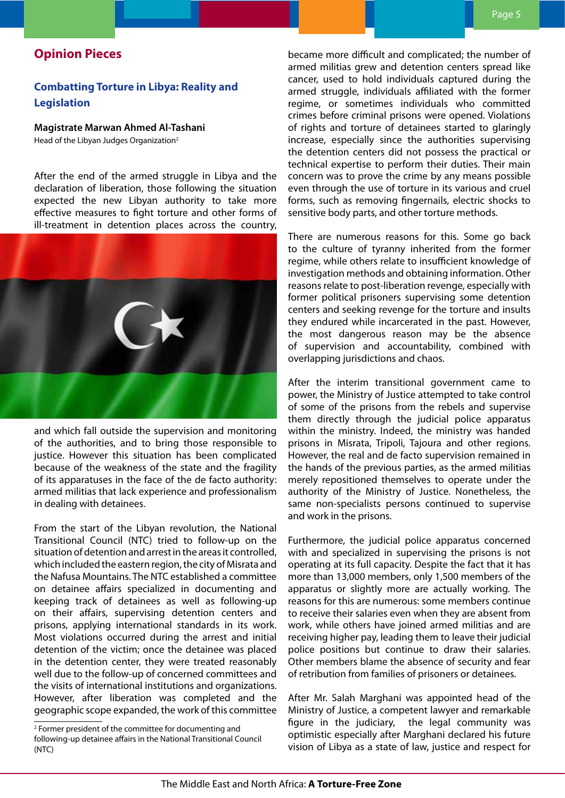# **Opinion Pieces**

# **Combatting Torture in Libya: Reality and Legislation**

#### **Magistrate Marwan Ahmed Al-Tashani**

Head of the Libyan Judges Organization<sup>2</sup>

After the end of the armed struggle in Libya and the declaration of liberation, those following the situation expected the new Libyan authority to take more effective measures to fight torture and other forms of ill-treatment in detention places across the country,



and which fall outside the supervision and monitoring of the authorities, and to bring those responsible to justice. However this situation has been complicated because of the weakness of the state and the fragility of its apparatuses in the face of the de facto authority: armed militias that lack experience and professionalism in dealing with detainees.

From the start of the Libyan revolution, the National Transitional Council (NTC) tried to follow-up on the situation of detention and arrest in the areas it controlled, which included the eastern region, the city of Misrata and the Nafusa Mountains. The NTC established a committee on detainee affairs specialized in documenting and keeping track of detainees as well as following-up on their affairs, supervising detention centers and prisons, applying international standards in its work. Most violations occurred during the arrest and initial detention of the victim; once the detainee was placed in the detention center, they were treated reasonably well due to the follow-up of concerned committees and the visits of international institutions and organizations. However, after liberation was completed and the geographic scope expanded, the work of this committee

became more difficult and complicated; the number of armed militias grew and detention centers spread like cancer, used to hold individuals captured during the armed struggle, individuals affiliated with the former regime, or sometimes individuals who committed crimes before criminal prisons were opened. Violations of rights and torture of detainees started to glaringly increase, especially since the authorities supervising the detention centers did not possess the practical or technical expertise to perform their duties. Their main concern was to prove the crime by any means possible even through the use of torture in its various and cruel forms, such as removing fingernails, electric shocks to sensitive body parts, and other torture methods.

There are numerous reasons for this. Some go back to the culture of tyranny inherited from the former regime, while others relate to insufficient knowledge of investigation methods and obtaining information. Other reasons relate to post-liberation revenge, especially with former political prisoners supervising some detention centers and seeking revenge for the torture and insults they endured while incarcerated in the past. However, the most dangerous reason may be the absence of supervision and accountability, combined with overlapping jurisdictions and chaos.

After the interim transitional government came to power, the Ministry of Justice attempted to take control of some of the prisons from the rebels and supervise them directly through the judicial police apparatus within the ministry. Indeed, the ministry was handed prisons in Misrata, Tripoli, Tajoura and other regions. However, the real and de facto supervision remained in the hands of the previous parties, as the armed militias merely repositioned themselves to operate under the authority of the Ministry of Justice. Nonetheless, the same non-specialists persons continued to supervise and work in the prisons.

Furthermore, the judicial police apparatus concerned with and specialized in supervising the prisons is not operating at its full capacity. Despite the fact that it has more than 13,000 members, only 1,500 members of the apparatus or slightly more are actually working. The reasons for this are numerous: some members continue to receive their salaries even when they are absent from work, while others have joined armed militias and are receiving higher pay, leading them to leave their judicial police positions but continue to draw their salaries. Other members blame the absence of security and fear of retribution from families of prisoners or detainees.

After Mr. Salah Marghani was appointed head of the Ministry of Justice, a competent lawyer and remarkable figure in the judiciary, the legal community was optimistic especially after Marghani declared his future vision of Libya as a state of law, justice and respect for

<sup>2</sup> Former president of the committee for documenting and following-up detainee affairs in the National Transitional Council (NTC)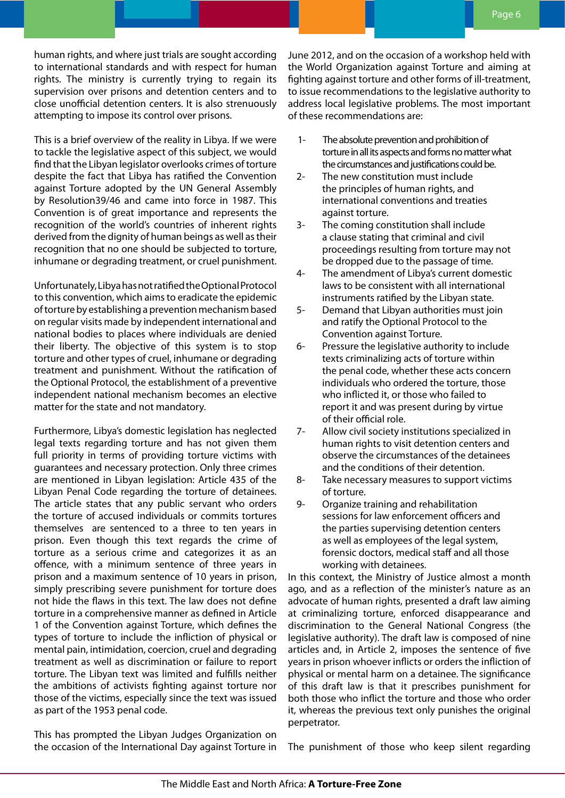human rights, and where just trials are sought according to international standards and with respect for human rights. The ministry is currently trying to regain its supervision over prisons and detention centers and to close unofficial detention centers. It is also strenuously attempting to impose its control over prisons.

This is a brief overview of the reality in Libya. If we were to tackle the legislative aspect of this subject, we would find that the Libyan legislator overlooks crimes of torture despite the fact that Libya has ratified the Convention against Torture adopted by the UN General Assembly by Resolution39/46 and came into force in 1987. This Convention is of great importance and represents the recognition of the world's countries of inherent rights derived from the dignity of human beings as well as their recognition that no one should be subjected to torture, inhumane or degrading treatment, or cruel punishment.

Unfortunately, Libya has not ratified the Optional Protocol to this convention, which aims to eradicate the epidemic of torture by establishing a prevention mechanism based on regular visits made by independent international and national bodies to places where individuals are denied their liberty. The objective of this system is to stop torture and other types of cruel, inhumane or degrading treatment and punishment. Without the ratification of the Optional Protocol, the establishment of a preventive independent national mechanism becomes an elective matter for the state and not mandatory.

Furthermore, Libya's domestic legislation has neglected legal texts regarding torture and has not given them full priority in terms of providing torture victims with guarantees and necessary protection. Only three crimes are mentioned in Libyan legislation: Article 435 of the Libyan Penal Code regarding the torture of detainees. The article states that any public servant who orders the torture of accused individuals or commits tortures themselves are sentenced to a three to ten years in prison. Even though this text regards the crime of torture as a serious crime and categorizes it as an offence, with a minimum sentence of three years in prison and a maximum sentence of 10 years in prison, simply prescribing severe punishment for torture does not hide the flaws in this text. The law does not define torture in a comprehensive manner as defined in Article 1 of the Convention against Torture, which defines the types of torture to include the infliction of physical or mental pain, intimidation, coercion, cruel and degrading treatment as well as discrimination or failure to report torture. The Libyan text was limited and fulfills neither the ambitions of activists fighting against torture nor those of the victims, especially since the text was issued as part of the 1953 penal code.

This has prompted the Libyan Judges Organization on the occasion of the International Day against Torture in June 2012, and on the occasion of a workshop held with the World Organization against Torture and aiming at fighting against torture and other forms of ill-treatment, to issue recommendations to the legislative authority to address local legislative problems. The most important of these recommendations are:

- 1- The absolute prevention and prohibition of torture in all its aspects and forms no matter what the circumstances and justifications could be.
- 2- The new constitution must include the principles of human rights, and international conventions and treaties against torture.
- 3- The coming constitution shall include a clause stating that criminal and civil proceedings resulting from torture may not be dropped due to the passage of time.
- 4- The amendment of Libya's current domestic laws to be consistent with all international instruments ratified by the Libyan state.
- 5- Demand that Libyan authorities must join and ratify the Optional Protocol to the Convention against Torture.
- 6- Pressure the legislative authority to include texts criminalizing acts of torture within the penal code, whether these acts concern individuals who ordered the torture, those who inflicted it, or those who failed to report it and was present during by virtue of their official role.
- 7- Allow civil society institutions specialized in human rights to visit detention centers and observe the circumstances of the detainees and the conditions of their detention.
- 8- Take necessary measures to support victims of torture.
- 9- Organize training and rehabilitation sessions for law enforcement officers and the parties supervising detention centers as well as employees of the legal system, forensic doctors, medical staff and all those working with detainees.

In this context, the Ministry of Justice almost a month ago, and as a reflection of the minister's nature as an advocate of human rights, presented a draft law aiming at criminalizing torture, enforced disappearance and discrimination to the General National Congress (the legislative authority). The draft law is composed of nine articles and, in Article 2, imposes the sentence of five years in prison whoever inflicts or orders the infliction of physical or mental harm on a detainee. The significance of this draft law is that it prescribes punishment for both those who inflict the torture and those who order it, whereas the previous text only punishes the original perpetrator.

The punishment of those who keep silent regarding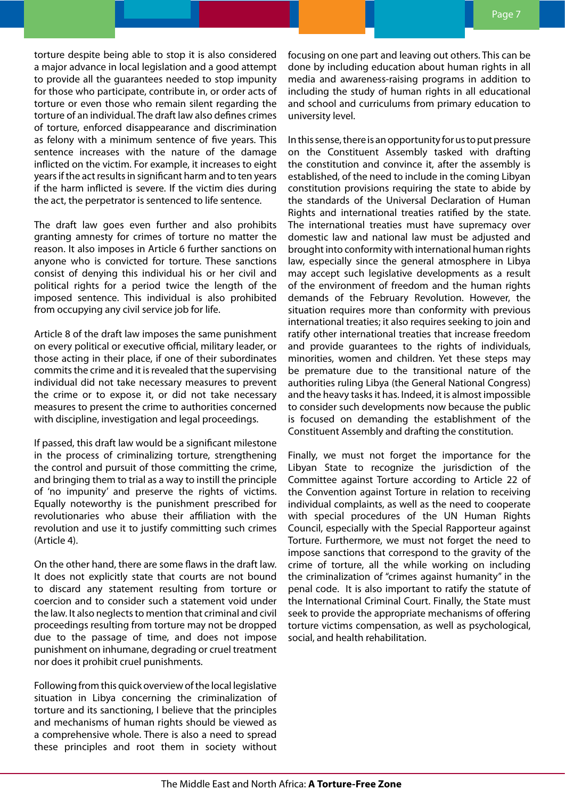torture despite being able to stop it is also considered a major advance in local legislation and a good attempt to provide all the guarantees needed to stop impunity for those who participate, contribute in, or order acts of torture or even those who remain silent regarding the torture of an individual. The draft law also defines crimes of torture, enforced disappearance and discrimination as felony with a minimum sentence of five years. This sentence increases with the nature of the damage inflicted on the victim. For example, it increases to eight years if the act results in significant harm and to ten years if the harm inflicted is severe. If the victim dies during the act, the perpetrator is sentenced to life sentence.

The draft law goes even further and also prohibits granting amnesty for crimes of torture no matter the reason. It also imposes in Article 6 further sanctions on anyone who is convicted for torture. These sanctions consist of denying this individual his or her civil and political rights for a period twice the length of the imposed sentence. This individual is also prohibited from occupying any civil service job for life.

Article 8 of the draft law imposes the same punishment on every political or executive official, military leader, or those acting in their place, if one of their subordinates commits the crime and it is revealed that the supervising individual did not take necessary measures to prevent the crime or to expose it, or did not take necessary measures to present the crime to authorities concerned with discipline, investigation and legal proceedings.

If passed, this draft law would be a significant milestone in the process of criminalizing torture, strengthening the control and pursuit of those committing the crime, and bringing them to trial as a way to instill the principle of 'no impunity' and preserve the rights of victims. Equally noteworthy is the punishment prescribed for revolutionaries who abuse their affiliation with the revolution and use it to justify committing such crimes (Article 4).

On the other hand, there are some flaws in the draft law. It does not explicitly state that courts are not bound to discard any statement resulting from torture or coercion and to consider such a statement void under the law. It also neglects to mention that criminal and civil proceedings resulting from torture may not be dropped due to the passage of time, and does not impose punishment on inhumane, degrading or cruel treatment nor does it prohibit cruel punishments.

Following from this quick overview of the local legislative situation in Libya concerning the criminalization of torture and its sanctioning, I believe that the principles and mechanisms of human rights should be viewed as a comprehensive whole. There is also a need to spread these principles and root them in society without

focusing on one part and leaving out others. This can be done by including education about human rights in all media and awareness-raising programs in addition to including the study of human rights in all educational and school and curriculums from primary education to university level.

In this sense, there is an opportunity for us to put pressure on the Constituent Assembly tasked with drafting the constitution and convince it, after the assembly is established, of the need to include in the coming Libyan constitution provisions requiring the state to abide by the standards of the Universal Declaration of Human Rights and international treaties ratified by the state. The international treaties must have supremacy over domestic law and national law must be adjusted and brought into conformity with international human rights law, especially since the general atmosphere in Libya may accept such legislative developments as a result of the environment of freedom and the human rights demands of the February Revolution. However, the situation requires more than conformity with previous international treaties; it also requires seeking to join and ratify other international treaties that increase freedom and provide guarantees to the rights of individuals, minorities, women and children. Yet these steps may be premature due to the transitional nature of the authorities ruling Libya (the General National Congress) and the heavy tasks it has. Indeed, it is almost impossible to consider such developments now because the public is focused on demanding the establishment of the Constituent Assembly and drafting the constitution.

Finally, we must not forget the importance for the Libyan State to recognize the jurisdiction of the Committee against Torture according to Article 22 of the Convention against Torture in relation to receiving individual complaints, as well as the need to cooperate with special procedures of the UN Human Rights Council, especially with the Special Rapporteur against Torture. Furthermore, we must not forget the need to impose sanctions that correspond to the gravity of the crime of torture, all the while working on including the criminalization of "crimes against humanity" in the penal code. It is also important to ratify the statute of the International Criminal Court. Finally, the State must seek to provide the appropriate mechanisms of offering torture victims compensation, as well as psychological, social, and health rehabilitation.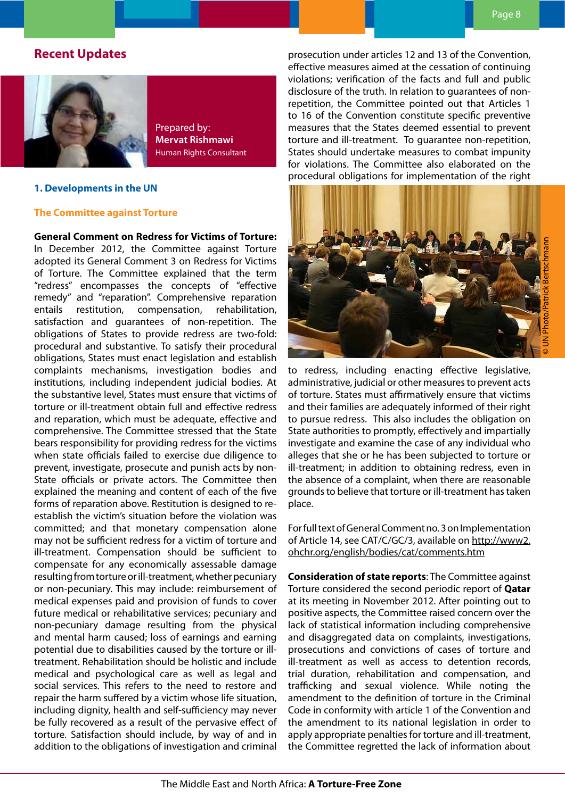# **Recent Updates**



Prepared by: **Mervat Rishmawi**  Human Rights Consultant

#### **1. Developments in the UN**

#### **The Committee against Torture**

#### **General Comment on Redress for Victims of Torture:** In December 2012, the Committee against Torture adopted its General Comment 3 on Redress for Victims of Torture. The Committee explained that the term "redress" encompasses the concepts of "effective remedy" and "reparation". Comprehensive reparation entails restitution, compensation, rehabilitation, satisfaction and guarantees of non-repetition. The obligations of States to provide redress are two-fold: procedural and substantive. To satisfy their procedural obligations, States must enact legislation and establish complaints mechanisms, investigation bodies and institutions, including independent judicial bodies. At the substantive level, States must ensure that victims of torture or ill-treatment obtain full and effective redress and reparation, which must be adequate, effective and comprehensive. The Committee stressed that the State bears responsibility for providing redress for the victims when state officials failed to exercise due diligence to prevent, investigate, prosecute and punish acts by non-State officials or private actors. The Committee then explained the meaning and content of each of the five forms of reparation above. Restitution is designed to reestablish the victim's situation before the violation was committed; and that monetary compensation alone may not be sufficient redress for a victim of torture and ill-treatment. Compensation should be sufficient to compensate for any economically assessable damage resulting from torture or ill-treatment, whether pecuniary or non-pecuniary. This may include: reimbursement of medical expenses paid and provision of funds to cover future medical or rehabilitative services; pecuniary and

non-pecuniary damage resulting from the physical and mental harm caused; loss of earnings and earning potential due to disabilities caused by the torture or illtreatment. Rehabilitation should be holistic and include medical and psychological care as well as legal and social services. This refers to the need to restore and repair the harm suffered by a victim whose life situation, including dignity, health and self-sufficiency may never be fully recovered as a result of the pervasive effect of torture. Satisfaction should include, by way of and in addition to the obligations of investigation and criminal

prosecution under articles 12 and 13 of the Convention, effective measures aimed at the cessation of continuing violations; verification of the facts and full and public disclosure of the truth. In relation to guarantees of nonrepetition, the Committee pointed out that Articles 1 to 16 of the Convention constitute specific preventive measures that the States deemed essential to prevent torture and ill-treatment. To guarantee non-repetition, States should undertake measures to combat impunity for violations. The Committee also elaborated on the procedural obligations for implementation of the right



to redress, including enacting effective legislative, administrative, judicial or other measures to prevent acts of torture. States must affirmatively ensure that victims and their families are adequately informed of their right to pursue redress. This also includes the obligation on State authorities to promptly, effectively and impartially investigate and examine the case of any individual who alleges that she or he has been subjected to torture or ill-treatment; in addition to obtaining redress, even in the absence of a complaint, when there are reasonable grounds to believe that torture or ill-treatment has taken place.

For full text of General Comment no. 3 on Implementation of Article 14, see CAT/C/GC/3, available on http://www2. ohchr.org/english/bodies/cat/comments.htm

**Consideration of state reports**: The Committee against Torture considered the second periodic report of **Qatar** at its meeting in November 2012. After pointing out to positive aspects, the Committee raised concern over the lack of statistical information including comprehensive and disaggregated data on complaints, investigations, prosecutions and convictions of cases of torture and ill-treatment as well as access to detention records, trial duration, rehabilitation and compensation, and trafficking and sexual violence. While noting the amendment to the definition of torture in the Criminal Code in conformity with article 1 of the Convention and the amendment to its national legislation in order to apply appropriate penalties for torture and ill-treatment, the Committee regretted the lack of information about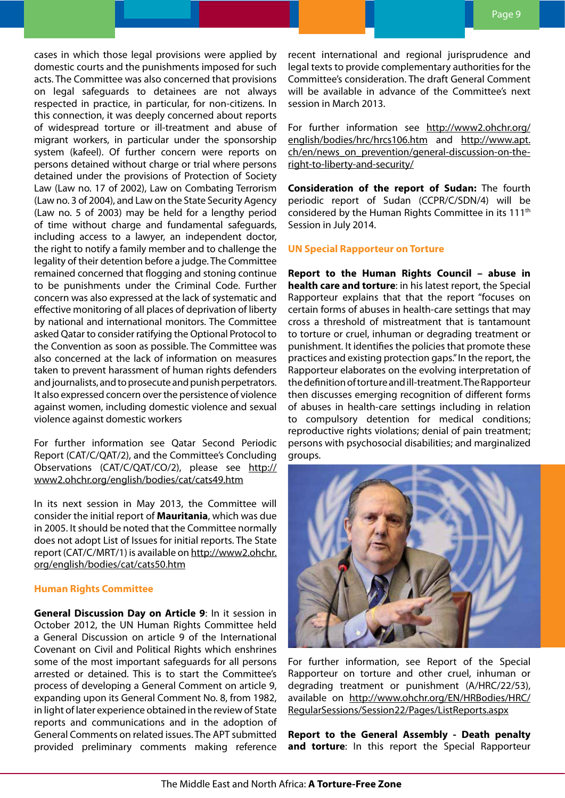cases in which those legal provisions were applied by domestic courts and the punishments imposed for such acts. The Committee was also concerned that provisions on legal safeguards to detainees are not always respected in practice, in particular, for non-citizens. In this connection, it was deeply concerned about reports of widespread torture or ill-treatment and abuse of migrant workers, in particular under the sponsorship system (kafeel). Of further concern were reports on persons detained without charge or trial where persons detained under the provisions of Protection of Society Law (Law no. 17 of 2002), Law on Combating Terrorism (Law no. 3 of 2004), and Law on the State Security Agency (Law no. 5 of 2003) may be held for a lengthy period of time without charge and fundamental safeguards, including access to a lawyer, an independent doctor, the right to notify a family member and to challenge the legality of their detention before a judge. The Committee remained concerned that flogging and stoning continue to be punishments under the Criminal Code. Further concern was also expressed at the lack of systematic and effective monitoring of all places of deprivation of liberty by national and international monitors. The Committee asked Qatar to consider ratifying the Optional Protocol to the Convention as soon as possible. The Committee was also concerned at the lack of information on measures taken to prevent harassment of human rights defenders and journalists, and to prosecute and punish perpetrators. It also expressed concern over the persistence of violence against women, including domestic violence and sexual violence against domestic workers

For further information see Qatar Second Periodic Report (CAT/C/QAT/2), and the Committee's Concluding Observations (CAT/C/QAT/CO/2), please see http:// www2.ohchr.org/english/bodies/cat/cats49.htm

In its next session in May 2013, the Committee will consider the initial report of **Mauritania**, which was due in 2005. It should be noted that the Committee normally does not adopt List of Issues for initial reports. The State report (CAT/C/MRT/1) is available on http://www2.ohchr. org/english/bodies/cat/cats50.htm

#### **Human Rights Committee**

**General Discussion Day on Article 9**: In it session in October 2012, the UN Human Rights Committee held a General Discussion on article 9 of the International Covenant on Civil and Political Rights which enshrines some of the most important safeguards for all persons arrested or detained. This is to start the Committee's process of developing a General Comment on article 9, expanding upon its General Comment No. 8, from 1982, in light of later experience obtained in the review of State reports and communications and in the adoption of General Comments on related issues. The APT submitted provided preliminary comments making reference

recent international and regional jurisprudence and legal texts to provide complementary authorities for the Committee's consideration. The draft General Comment will be available in advance of the Committee's next session in March 2013.

For further information see http://www2.ohchr.org/ english/bodies/hrc/hrcs106.htm and http://www.apt. ch/en/news\_on\_prevention/general-discussion-on-theright-to-liberty-and-security/

**Consideration of the report of Sudan:** The fourth periodic report of Sudan (CCPR/C/SDN/4) will be considered by the Human Rights Committee in its 111<sup>th</sup> Session in July 2014.

#### **UN Special Rapporteur on Torture**

**Report to the Human Rights Council – abuse in health care and torture**: in his latest report, the Special Rapporteur explains that that the report "focuses on certain forms of abuses in health-care settings that may cross a threshold of mistreatment that is tantamount to torture or cruel, inhuman or degrading treatment or punishment. It identifies the policies that promote these practices and existing protection gaps." In the report, the Rapporteur elaborates on the evolving interpretation of the definition of torture and ill-treatment. The Rapporteur then discusses emerging recognition of different forms of abuses in health-care settings including in relation to compulsory detention for medical conditions; reproductive rights violations; denial of pain treatment; persons with psychosocial disabilities; and marginalized groups.



For further information, see Report of the Special Rapporteur on torture and other cruel, inhuman or degrading treatment or punishment (A/HRC/22/53), available on http://www.ohchr.org/EN/HRBodies/HRC/ RegularSessions/Session22/Pages/ListReports.aspx

**Report to the General Assembly - Death penalty and torture**: In this report the Special Rapporteur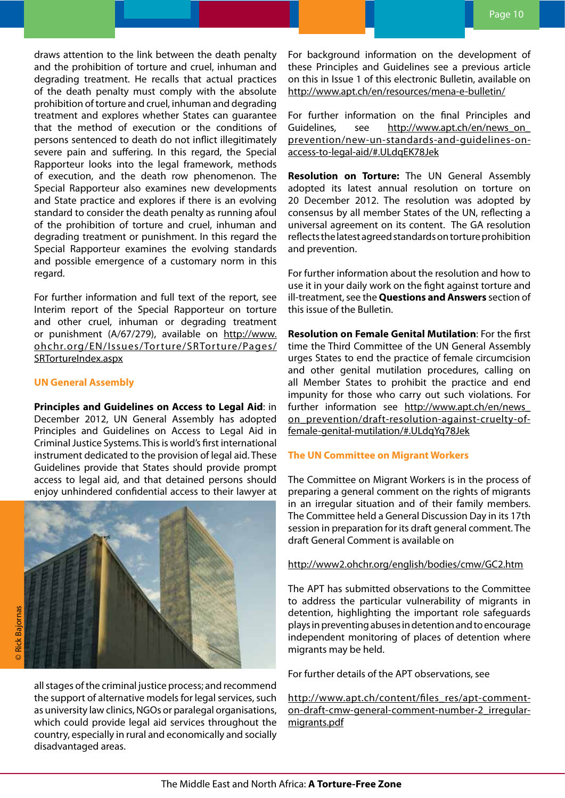draws attention to the link between the death penalty and the prohibition of torture and cruel, inhuman and degrading treatment. He recalls that actual practices of the death penalty must comply with the absolute prohibition of torture and cruel, inhuman and degrading treatment and explores whether States can guarantee that the method of execution or the conditions of persons sentenced to death do not inflict illegitimately severe pain and suffering. In this regard, the Special Rapporteur looks into the legal framework, methods of execution, and the death row phenomenon. The Special Rapporteur also examines new developments and State practice and explores if there is an evolving standard to consider the death penalty as running afoul of the prohibition of torture and cruel, inhuman and degrading treatment or punishment. In this regard the Special Rapporteur examines the evolving standards and possible emergence of a customary norm in this regard.

For further information and full text of the report, see Interim report of the Special Rapporteur on torture and other cruel, inhuman or degrading treatment or punishment (A/67/279), available on http://www. ohchr.org/EN/Issues/Torture/SRTorture/Pages/ SRTortureIndex.aspx

#### **UN General Assembly**

**Principles and Guidelines on Access to Legal Aid**: in December 2012, UN General Assembly has adopted Principles and Guidelines on Access to Legal Aid in Criminal Justice Systems. This is world's first international instrument dedicated to the provision of legal aid. These Guidelines provide that States should provide prompt access to legal aid, and that detained persons should enjoy unhindered confidential access to their lawyer at



For background information on the development of these Principles and Guidelines see a previous article on this in Issue 1 of this electronic Bulletin, available on http://www.apt.ch/en/resources/mena-e-bulletin/

For further information on the final Principles and Guidelines, see http://www.apt.ch/en/news\_on\_ prevention/new-un-standards-and-guidelines-onaccess-to-legal-aid/#.ULdqEK78Jek

**Resolution on Torture:** The UN General Assembly adopted its latest annual resolution on torture on 20 December 2012. The resolution was adopted by consensus by all member States of the UN, reflecting a universal agreement on its content. The GA resolution reflects the latest agreed standards on torture prohibition and prevention.

For further information about the resolution and how to use it in your daily work on the fight against torture and ill-treatment, see the **Questions and Answers** section of this issue of the Bulletin.

**Resolution on Female Genital Mutilation**: For the first time the Third Committee of the UN General Assembly urges States to end the practice of female circumcision and other genital mutilation procedures, calling on all Member States to prohibit the practice and end impunity for those who carry out such violations. For further information see http://www.apt.ch/en/news\_ on\_prevention/draft-resolution-against-cruelty-offemale-genital-mutilation/#.ULdqYq78Jek

#### **The UN Committee on Migrant Workers**

The Committee on Migrant Workers is in the process of preparing a general comment on the rights of migrants in an irregular situation and of their family members. The Committee held a General Discussion Day in its 17th session in preparation for its draft general comment. The draft General Comment is available on

#### http://www2.ohchr.org/english/bodies/cmw/GC2.htm

The APT has submitted observations to the Committee to address the particular vulnerability of migrants in detention, highlighting the important role safeguards plays in preventing abuses in detention and to encourage independent monitoring of places of detention where migrants may be held.

For further details of the APT observations, see

http://www.apt.ch/content/files\_res/apt-commenton-draft-cmw-general-comment-number-2\_irregularmigrants.pdf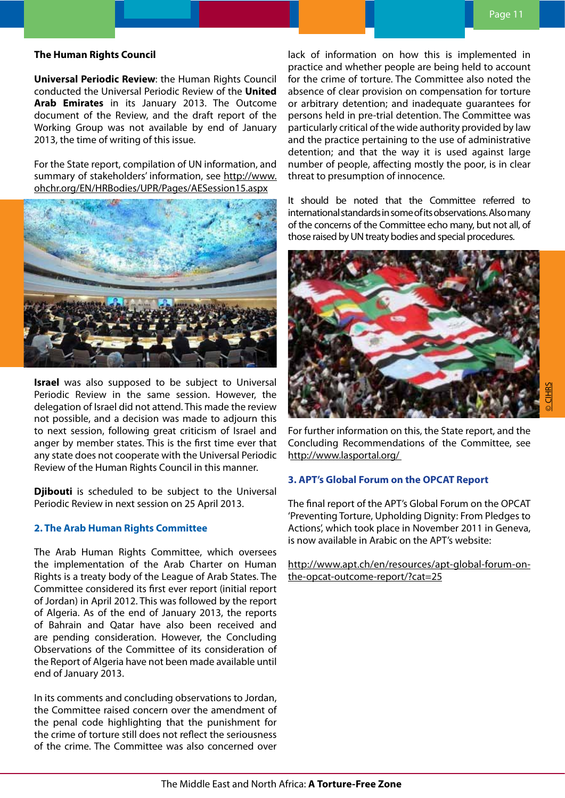#### **The Human Rights Council**

**Universal Periodic Review**: the Human Rights Council conducted the Universal Periodic Review of the **United Arab Emirates** in its January 2013. The Outcome document of the Review, and the draft report of the Working Group was not available by end of January 2013, the time of writing of this issue.

For the State report, compilation of UN information, and summary of stakeholders' information, see http://www. ohchr.org/EN/HRBodies/UPR/Pages/AESession15.aspx



**Israel** was also supposed to be subject to Universal Periodic Review in the same session. However, the delegation of Israel did not attend. This made the review not possible, and a decision was made to adjourn this to next session, following great criticism of Israel and anger by member states. This is the first time ever that any state does not cooperate with the Universal Periodic Review of the Human Rights Council in this manner.

**Djibouti** is scheduled to be subject to the Universal Periodic Review in next session on 25 April 2013.

#### **2. The Arab Human Rights Committee**

The Arab Human Rights Committee, which oversees the implementation of the Arab Charter on Human Rights is a treaty body of the League of Arab States. The Committee considered its first ever report (initial report of Jordan) in April 2012. This was followed by the report of Algeria. As of the end of January 2013, the reports of Bahrain and Qatar have also been received and are pending consideration. However, the Concluding Observations of the Committee of its consideration of the Report of Algeria have not been made available until end of January 2013.

In its comments and concluding observations to Jordan, the Committee raised concern over the amendment of the penal code highlighting that the punishment for the crime of torture still does not reflect the seriousness of the crime. The Committee was also concerned over lack of information on how this is implemented in practice and whether people are being held to account for the crime of torture. The Committee also noted the absence of clear provision on compensation for torture or arbitrary detention; and inadequate guarantees for persons held in pre-trial detention. The Committee was particularly critical of the wide authority provided by law and the practice pertaining to the use of administrative detention; and that the way it is used against large number of people, affecting mostly the poor, is in clear threat to presumption of innocence.

It should be noted that the Committee referred to international standards in some of its observations. Also many of the concerns of the Committee echo many, but not all, of those raised by UN treaty bodies and special procedures.



For further information on this, the State report, and the Concluding Recommendations of the Committee, see http://www.lasportal.org/

#### **3. APT's Global Forum on the OPCAT Report**

The final report of the APT's Global Forum on the OPCAT 'Preventing Torture, Upholding Dignity: From Pledges to Actions', which took place in November 2011 in Geneva, is now available in Arabic on the APT's website:

http://www.apt.ch/en/resources/apt-global-forum-onthe-opcat-outcome-report/?cat=25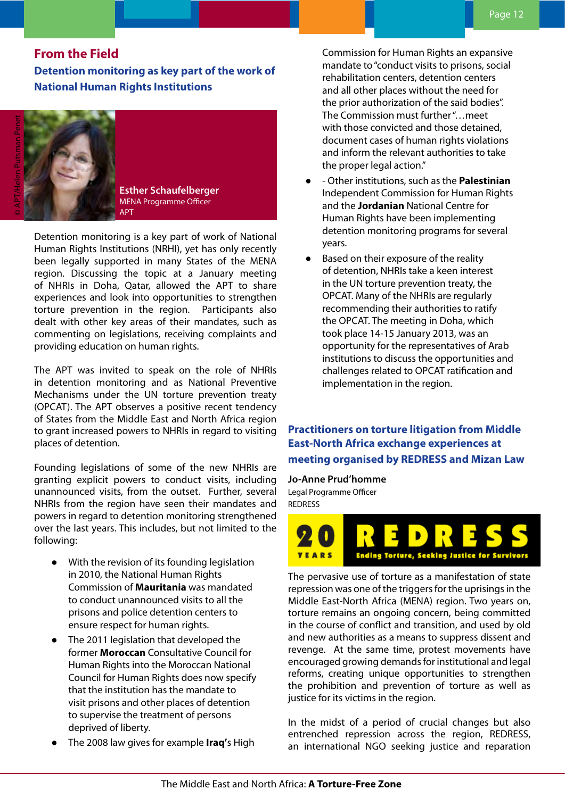### **From the Field**

**Detention monitoring as key part of the work of National Human Rights Institutions**

**Esther Schaufelberger** MENA Programme Officer APT

Detention monitoring is a key part of work of National Human Rights Institutions (NRHI), yet has only recently been legally supported in many States of the MENA region. Discussing the topic at a January meeting of NHRIs in Doha, Qatar, allowed the APT to share experiences and look into opportunities to strengthen torture prevention in the region. Participants also dealt with other key areas of their mandates, such as commenting on legislations, receiving complaints and providing education on human rights.

The APT was invited to speak on the role of NHRIs in detention monitoring and as National Preventive Mechanisms under the UN torture prevention treaty (OPCAT). The APT observes a positive recent tendency of States from the Middle East and North Africa region to grant increased powers to NHRIs in regard to visiting places of detention.

Founding legislations of some of the new NHRIs are granting explicit powers to conduct visits, including unannounced visits, from the outset. Further, several NHRIs from the region have seen their mandates and powers in regard to detention monitoring strengthened over the last years. This includes, but not limited to the following:

- With the revision of its founding legislation in 2010, the National Human Rights Commission of **Mauritania** was mandated to conduct unannounced visits to all the prisons and police detention centers to ensure respect for human rights.
- The 2011 legislation that developed the former **Moroccan** Consultative Council for Human Rights into the Moroccan National Council for Human Rights does now specify that the institution has the mandate to visit prisons and other places of detention to supervise the treatment of persons deprived of liberty.
- The 2008 law gives for example **Iraq'**s High

Commission for Human Rights an expansive mandate to "conduct visits to prisons, social rehabilitation centers, detention centers and all other places without the need for the prior authorization of the said bodies". The Commission must further "…meet with those convicted and those detained, document cases of human rights violations and inform the relevant authorities to take the proper legal action."

- - Other institutions, such as the **Palestinian** Independent Commission for Human Rights and the **Jordanian** National Centre for Human Rights have been implementing detention monitoring programs for several years.
- Based on their exposure of the reality of detention, NHRIs take a keen interest in the UN torture prevention treaty, the OPCAT. Many of the NHRIs are regularly recommending their authorities to ratify the OPCAT. The meeting in Doha, which took place 14-15 January 2013, was an opportunity for the representatives of Arab institutions to discuss the opportunities and challenges related to OPCAT ratification and implementation in the region.

**Practitioners on torture litigation from Middle East-North Africa exchange experiences at meeting organised by REDRESS and Mizan Law** 

**Jo-Anne Prud'homme**

Legal Programme Officer REDRESS



The pervasive use of torture as a manifestation of state repression was one of the triggers for the uprisings in the Middle East-North Africa (MENA) region. Two years on, torture remains an ongoing concern, being committed in the course of conflict and transition, and used by old and new authorities as a means to suppress dissent and revenge. At the same time, protest movements have encouraged growing demands for institutional and legal reforms, creating unique opportunities to strengthen the prohibition and prevention of torture as well as justice for its victims in the region.

In the midst of a period of crucial changes but also entrenched repression across the region, REDRESS, an international NGO seeking justice and reparation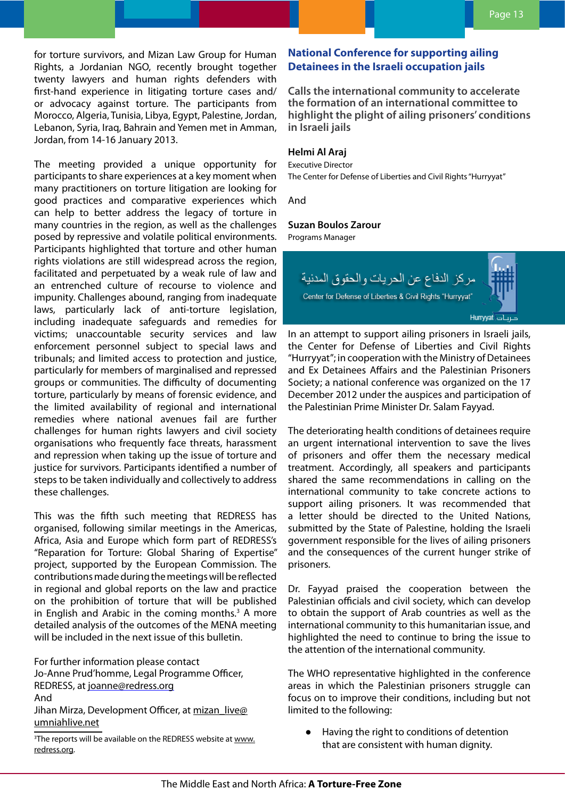for torture survivors, and Mizan Law Group for Human Rights, a Jordanian NGO, recently brought together twenty lawyers and human rights defenders with first-hand experience in litigating torture cases and/ or advocacy against torture. The participants from Morocco, Algeria, Tunisia, Libya, Egypt, Palestine, Jordan, Lebanon, Syria, Iraq, Bahrain and Yemen met in Amman, Jordan, from 14-16 January 2013.

The meeting provided a unique opportunity for participants to share experiences at a key moment when many practitioners on torture litigation are looking for good practices and comparative experiences which can help to better address the legacy of torture in many countries in the region, as well as the challenges posed by repressive and volatile political environments. Participants highlighted that torture and other human rights violations are still widespread across the region, facilitated and perpetuated by a weak rule of law and an entrenched culture of recourse to violence and impunity. Challenges abound, ranging from inadequate laws, particularly lack of anti-torture legislation, including inadequate safeguards and remedies for victims; unaccountable security services and law enforcement personnel subject to special laws and tribunals; and limited access to protection and justice, particularly for members of marginalised and repressed groups or communities. The difficulty of documenting torture, particularly by means of forensic evidence, and the limited availability of regional and international remedies where national avenues fail are further challenges for human rights lawyers and civil society organisations who frequently face threats, harassment and repression when taking up the issue of torture and justice for survivors. Participants identified a number of steps to be taken individually and collectively to address these challenges.

This was the fifth such meeting that REDRESS has organised, following similar meetings in the Americas, Africa, Asia and Europe which form part of REDRESS's "Reparation for Torture: Global Sharing of Expertise" project, supported by the European Commission. The contributions made during the meetings will be reflected in regional and global reports on the law and practice on the prohibition of torture that will be published in English and Arabic in the coming months. $3$  A more detailed analysis of the outcomes of the MENA meeting will be included in the next issue of this bulletin.

For further information please contact Jo-Anne Prud'homme, Legal Programme Officer, REDRESS, at joanne@redress.org And Jihan Mirza, Development Officer, at mizan\_live@ umniahlive.net

<sup>3</sup>The reports will be available on the REDRESS website at www. redress.org.

# **National Conference for supporting ailing Detainees in the Israeli occupation jails**

**Calls the international community to accelerate the formation of an international committee to highlight the plight of ailing prisoners' conditions in Israeli jails**

#### **Helmi Al Araj**

Executive Director The Center for Defense of Liberties and Civil Rights "Hurryyat"

And

#### **Suzan Boulos Zarour**

Programs Manager

مركز الدفاع عن الحريات والحقوق المدنية Center for Defense of Liberties & Civil Rights "Hurryyat"

Hurryyat colup

In an attempt to support ailing prisoners in Israeli jails, the Center for Defense of Liberties and Civil Rights "Hurryyat"; in cooperation with the Ministry of Detainees and Ex Detainees Affairs and the Palestinian Prisoners Society; a national conference was organized on the 17 December 2012 under the auspices and participation of the Palestinian Prime Minister Dr. Salam Fayyad.

The deteriorating health conditions of detainees require an urgent international intervention to save the lives of prisoners and offer them the necessary medical treatment. Accordingly, all speakers and participants shared the same recommendations in calling on the international community to take concrete actions to support ailing prisoners. It was recommended that a letter should be directed to the United Nations, submitted by the State of Palestine, holding the Israeli government responsible for the lives of ailing prisoners and the consequences of the current hunger strike of prisoners.

Dr. Fayyad praised the cooperation between the Palestinian officials and civil society, which can develop to obtain the support of Arab countries as well as the international community to this humanitarian issue, and highlighted the need to continue to bring the issue to the attention of the international community.

The WHO representative highlighted in the conference areas in which the Palestinian prisoners struggle can focus on to improve their conditions, including but not limited to the following:

Having the right to conditions of detention that are consistent with human dignity.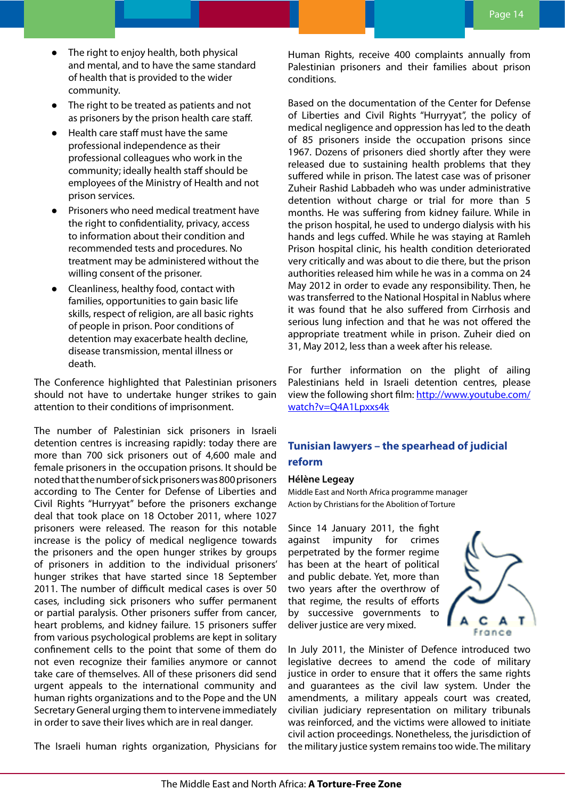- The right to enjoy health, both physical and mental, and to have the same standard of health that is provided to the wider community.
- The right to be treated as patients and not as prisoners by the prison health care staff.
- Health care staff must have the same professional independence as their professional colleagues who work in the community; ideally health staff should be employees of the Ministry of Health and not prison services.
- Prisoners who need medical treatment have the right to confidentiality, privacy, access to information about their condition and recommended tests and procedures. No treatment may be administered without the willing consent of the prisoner.
- Cleanliness, healthy food, contact with families, opportunities to gain basic life skills, respect of religion, are all basic rights of people in prison. Poor conditions of detention may exacerbate health decline, disease transmission, mental illness or death.

The Conference highlighted that Palestinian prisoners should not have to undertake hunger strikes to gain attention to their conditions of imprisonment.

The number of Palestinian sick prisoners in Israeli detention centres is increasing rapidly: today there are more than 700 sick prisoners out of 4,600 male and female prisoners in the occupation prisons. It should be noted that the number of sick prisoners was 800 prisoners according to The Center for Defense of Liberties and Civil Rights "Hurryyat" before the prisoners exchange deal that took place on 18 October 2011, where 1027 prisoners were released. The reason for this notable increase is the policy of medical negligence towards the prisoners and the open hunger strikes by groups of prisoners in addition to the individual prisoners' hunger strikes that have started since 18 September 2011. The number of difficult medical cases is over 50 cases, including sick prisoners who suffer permanent or partial paralysis. Other prisoners suffer from cancer, heart problems, and kidney failure. 15 prisoners suffer from various psychological problems are kept in solitary confinement cells to the point that some of them do not even recognize their families anymore or cannot take care of themselves. All of these prisoners did send urgent appeals to the international community and human rights organizations and to the Pope and the UN Secretary General urging them to intervene immediately in order to save their lives which are in real danger.

The Israeli human rights organization, Physicians for

Human Rights, receive 400 complaints annually from Palestinian prisoners and their families about prison conditions.

Based on the documentation of the Center for Defense of Liberties and Civil Rights "Hurryyat", the policy of medical negligence and oppression has led to the death of 85 prisoners inside the occupation prisons since 1967. Dozens of prisoners died shortly after they were released due to sustaining health problems that they suffered while in prison. The latest case was of prisoner Zuheir Rashid Labbadeh who was under administrative detention without charge or trial for more than 5 months. He was suffering from kidney failure. While in the prison hospital, he used to undergo dialysis with his hands and legs cuffed. While he was staying at Ramleh Prison hospital clinic, his health condition deteriorated very critically and was about to die there, but the prison authorities released him while he was in a comma on 24 May 2012 in order to evade any responsibility. Then, he was transferred to the National Hospital in Nablus where it was found that he also suffered from Cirrhosis and serious lung infection and that he was not offered the appropriate treatment while in prison. Zuheir died on 31, May 2012, less than a week after his release.

For further information on the plight of ailing Palestinians held in Israeli detention centres, please view the following short film: http://www.youtube.com/ watch?v=Q4A1Lpxxs4k

# **Tunisian lawyers – the spearhead of judicial reform**

#### **Hélène Legeay**

Middle East and North Africa programme manager Action by Christians for the Abolition of Torture

Since 14 January 2011, the fight against impunity for crimes perpetrated by the former regime has been at the heart of political and public debate. Yet, more than two years after the overthrow of that regime, the results of efforts by successive governments to deliver justice are very mixed.



In July 2011, the Minister of Defence introduced two legislative decrees to amend the code of military justice in order to ensure that it offers the same rights and guarantees as the civil law system. Under the amendments, a military appeals court was created, civilian judiciary representation on military tribunals was reinforced, and the victims were allowed to initiate civil action proceedings. Nonetheless, the jurisdiction of the military justice system remains too wide. The military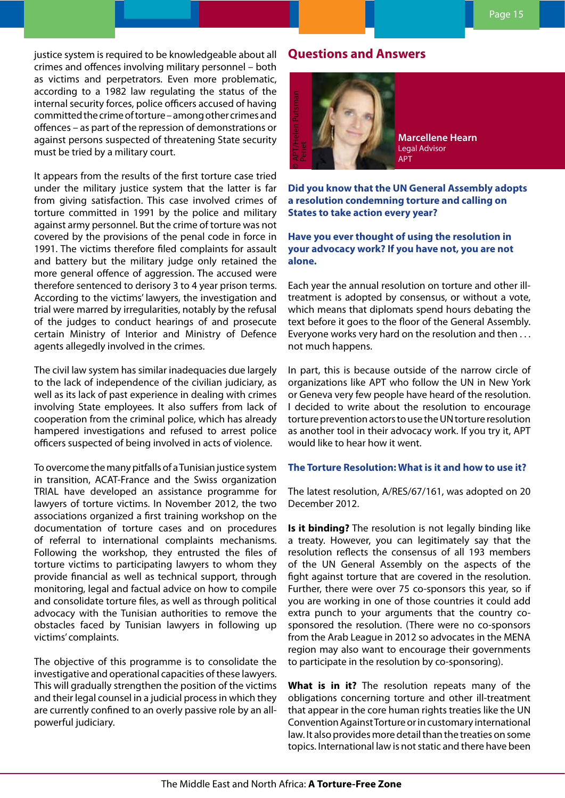justice system is required to be knowledgeable about all crimes and offences involving military personnel – both as victims and perpetrators. Even more problematic, according to a 1982 law regulating the status of the internal security forces, police officers accused of having committed the crime of torture – among other crimes and offences – as part of the repression of demonstrations or against persons suspected of threatening State security must be tried by a military court.

It appears from the results of the first torture case tried under the military justice system that the latter is far from giving satisfaction. This case involved crimes of torture committed in 1991 by the police and military against army personnel. But the crime of torture was not covered by the provisions of the penal code in force in 1991. The victims therefore filed complaints for assault and battery but the military judge only retained the more general offence of aggression. The accused were therefore sentenced to derisory 3 to 4 year prison terms. According to the victims' lawyers, the investigation and trial were marred by irregularities, notably by the refusal of the judges to conduct hearings of and prosecute certain Ministry of Interior and Ministry of Defence agents allegedly involved in the crimes.

The civil law system has similar inadequacies due largely to the lack of independence of the civilian judiciary, as well as its lack of past experience in dealing with crimes involving State employees. It also suffers from lack of cooperation from the criminal police, which has already hampered investigations and refused to arrest police officers suspected of being involved in acts of violence.

To overcome the many pitfalls of a Tunisian justice system in transition, ACAT-France and the Swiss organization TRIAL have developed an assistance programme for lawyers of torture victims. In November 2012, the two associations organized a first training workshop on the documentation of torture cases and on procedures of referral to international complaints mechanisms. Following the workshop, they entrusted the files of torture victims to participating lawyers to whom they provide financial as well as technical support, through monitoring, legal and factual advice on how to compile and consolidate torture files, as well as through political advocacy with the Tunisian authorities to remove the obstacles faced by Tunisian lawyers in following up victims' complaints.

The objective of this programme is to consolidate the investigative and operational capacities of these lawyers. This will gradually strengthen the position of the victims and their legal counsel in a judicial process in which they are currently confined to an overly passive role by an allpowerful judiciary.

# **Questions and Answers**



**Marcellene Hearn** Legal Advisor APT

**Did you know that the UN General Assembly adopts a resolution condemning torture and calling on States to take action every year?** 

**Have you ever thought of using the resolution in your advocacy work? If you have not, you are not alone.**

Each year the annual resolution on torture and other illtreatment is adopted by consensus, or without a vote, which means that diplomats spend hours debating the text before it goes to the floor of the General Assembly. Everyone works very hard on the resolution and then . . . not much happens.

In part, this is because outside of the narrow circle of organizations like APT who follow the UN in New York or Geneva very few people have heard of the resolution. I decided to write about the resolution to encourage torture prevention actors to use the UN torture resolution as another tool in their advocacy work. If you try it, APT would like to hear how it went.

#### **The Torture Resolution: What is it and how to use it?**

The latest resolution, A/RES/67/161, was adopted on 20 December 2012.

**Is it binding?** The resolution is not legally binding like a treaty. However, you can legitimately say that the resolution reflects the consensus of all 193 members of the UN General Assembly on the aspects of the fight against torture that are covered in the resolution. Further, there were over 75 co-sponsors this year, so if you are working in one of those countries it could add extra punch to your arguments that the country cosponsored the resolution. (There were no co-sponsors from the Arab League in 2012 so advocates in the MENA region may also want to encourage their governments to participate in the resolution by co-sponsoring).

**What is in it?** The resolution repeats many of the obligations concerning torture and other ill-treatment that appear in the core human rights treaties like the UN Convention Against Torture or in customary international law. It also provides more detail than the treaties on some topics. International law is not static and there have been